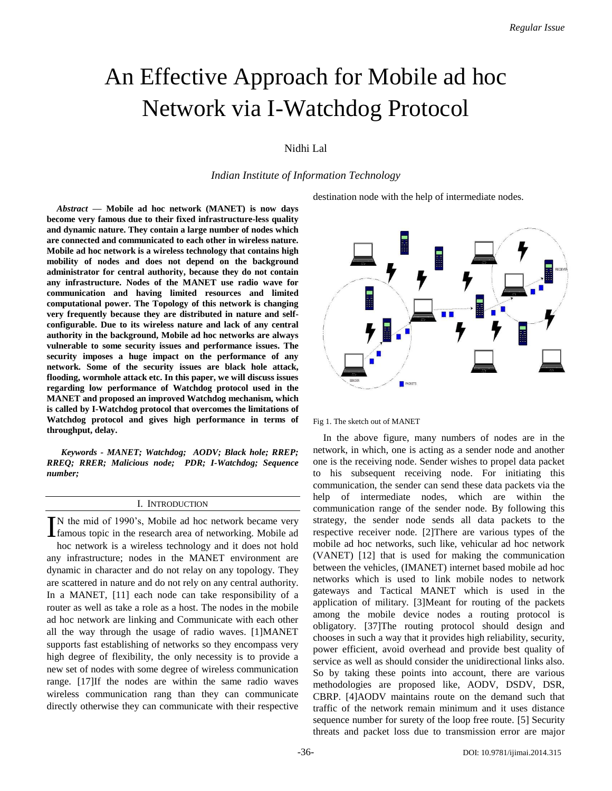# An Effective Approach for Mobile ad hoc Network via I-Watchdog Protocol

# Nidhi Lal

*Indian Institute of Information Technology*

destination node with the help of intermediate nodes.

*Abstract* **— Mobile ad hoc network (MANET) is now days become very famous due to their fixed infrastructure-less quality and dynamic nature. They contain a large number of nodes which are connected and communicated to each other in wireless nature. Mobile ad hoc network is a wireless technology that contains high mobility of nodes and does not depend on the background administrator for central authority, because they do not contain any infrastructure. Nodes of the MANET use radio wave for communication and having limited resources and limited computational power. The Topology of this network is changing very frequently because they are distributed in nature and selfconfigurable. Due to its wireless nature and lack of any central authority in the background, Mobile ad hoc networks are always vulnerable to some security issues and performance issues. The security imposes a huge impact on the performance of any network. Some of the security issues are black hole attack, flooding, wormhole attack etc. In this paper, we will discuss issues regarding low performance of Watchdog protocol used in the MANET and proposed an improved Watchdog mechanism, which is called by I-Watchdog protocol that overcomes the limitations of Watchdog protocol and gives high performance in terms of throughput, delay.**

*Keywords - MANET; Watchdog; AODV; Black hole; RREP; RREQ; RRER; Malicious node; PDR; I-Watchdog; Sequence number;*

# I. INTRODUCTION

N the mid of 1990's, Mobile ad hoc network became very IN the mid of 1990's, Mobile ad hoc network became very famous topic in the research area of networking. Mobile ad hoc network is a wireless technology and it does not hold any infrastructure; nodes in the MANET environment are dynamic in character and do not relay on any topology. They are scattered in nature and do not rely on any central authority. In a MANET, [11] each node can take responsibility of a router as well as take a role as a host. The nodes in the mobile ad hoc network are linking and Communicate with each other all the way through the usage of radio waves. [1]MANET supports fast establishing of networks so they encompass very high degree of flexibility, the only necessity is to provide a new set of nodes with some degree of wireless communication range. [17]If the nodes are within the same radio waves wireless communication rang than they can communicate directly otherwise they can communicate with their respective



Fig 1. The sketch out of MANET

In the above figure, many numbers of nodes are in the network, in which, one is acting as a sender node and another one is the receiving node. Sender wishes to propel data packet to his subsequent receiving node. For initiating this communication, the sender can send these data packets via the help of intermediate nodes, which are within the communication range of the sender node. By following this strategy, the sender node sends all data packets to the respective receiver node. [2]There are various types of the mobile ad hoc networks, such like, vehicular ad hoc network (VANET) [12] that is used for making the communication between the vehicles, (IMANET) internet based mobile ad hoc networks which is used to link mobile nodes to network gateways and Tactical MANET which is used in the application of military. [3]Meant for routing of the packets among the mobile device nodes a routing protocol is obligatory. [37]The routing protocol should design and chooses in such a way that it provides high reliability, security, power efficient, avoid overhead and provide best quality of service as well as should consider the unidirectional links also. So by taking these points into account, there are various methodologies are proposed like, AODV, DSDV, DSR, CBRP. [4]AODV maintains route on the demand such that traffic of the network remain minimum and it uses distance sequence number for surety of the loop free route. [5] Security threats and packet loss due to transmission error are major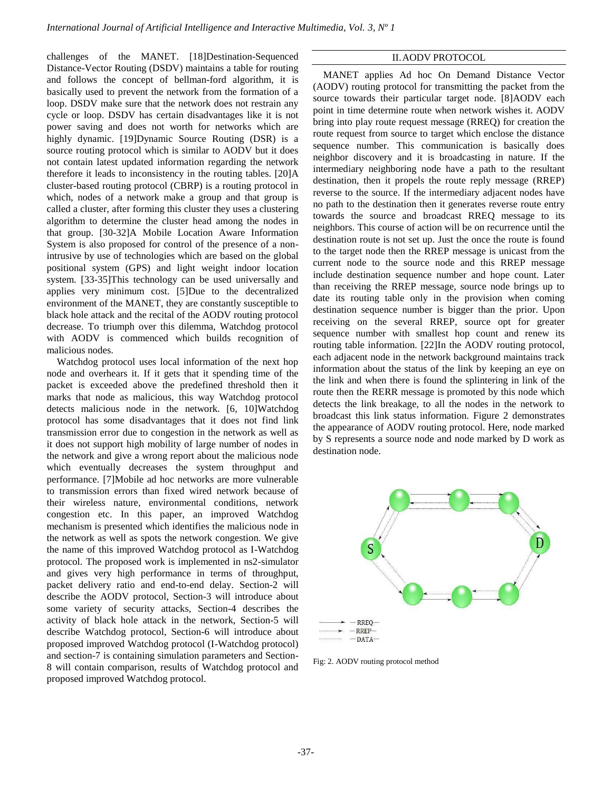challenges of the MANET. [18]Destination-Sequenced Distance-Vector Routing (DSDV) maintains a table for routing and follows the concept of bellman-ford algorithm, it is basically used to prevent the network from the formation of a loop. DSDV make sure that the network does not restrain any cycle or loop. DSDV has certain disadvantages like it is not power saving and does not worth for networks which are highly dynamic. [19]Dynamic Source Routing (DSR) is a source routing protocol which is similar to AODV but it does not contain latest updated information regarding the network therefore it leads to inconsistency in the routing tables. [20]A cluster-based routing protocol (CBRP) is a routing protocol in which, nodes of a network make a group and that group is called a cluster, after forming this cluster they uses a clustering algorithm to determine the cluster head among the nodes in that group. [30-32]A Mobile Location Aware Information System is also proposed for control of the presence of a nonintrusive by use of technologies which are based on the global positional system (GPS) and light weight indoor location system. [33-35]This technology can be used universally and applies very minimum cost. [5]Due to the decentralized environment of the MANET, they are constantly susceptible to black hole attack and the recital of the AODV routing protocol decrease. To triumph over this dilemma, Watchdog protocol with AODV is commenced which builds recognition of malicious nodes.

Watchdog protocol uses local information of the next hop node and overhears it. If it gets that it spending time of the packet is exceeded above the predefined threshold then it marks that node as malicious, this way Watchdog protocol detects malicious node in the network. [6, 10]Watchdog protocol has some disadvantages that it does not find link transmission error due to congestion in the network as well as it does not support high mobility of large number of nodes in the network and give a wrong report about the malicious node which eventually decreases the system throughput and performance. [7]Mobile ad hoc networks are more vulnerable to transmission errors than fixed wired network because of their wireless nature, environmental conditions, network congestion etc. In this paper, an improved Watchdog mechanism is presented which identifies the malicious node in the network as well as spots the network congestion. We give the name of this improved Watchdog protocol as I-Watchdog protocol. The proposed work is implemented in ns2-simulator and gives very high performance in terms of throughput, packet delivery ratio and end-to-end delay. Section-2 will describe the AODV protocol, Section-3 will introduce about some variety of security attacks, Section-4 describes the activity of black hole attack in the network, Section-5 will describe Watchdog protocol, Section-6 will introduce about proposed improved Watchdog protocol (I-Watchdog protocol) and section-7 is containing simulation parameters and Section-8 will contain comparison, results of Watchdog protocol and proposed improved Watchdog protocol.

# II.AODV PROTOCOL

MANET applies Ad hoc On Demand Distance Vector (AODV) routing protocol for transmitting the packet from the source towards their particular target node. [8]AODV each point in time determine route when network wishes it. AODV bring into play route request message (RREQ) for creation the route request from source to target which enclose the distance sequence number. This communication is basically does neighbor discovery and it is broadcasting in nature. If the intermediary neighboring node have a path to the resultant destination, then it propels the route reply message (RREP) reverse to the source. If the intermediary adjacent nodes have no path to the destination then it generates reverse route entry towards the source and broadcast RREQ message to its neighbors. This course of action will be on recurrence until the destination route is not set up. Just the once the route is found to the target node then the RREP message is unicast from the current node to the source node and this RREP message include destination sequence number and hope count. Later than receiving the RREP message, source node brings up to date its routing table only in the provision when coming destination sequence number is bigger than the prior. Upon receiving on the several RREP, source opt for greater sequence number with smallest hop count and renew its routing table information. [22]In the AODV routing protocol, each adjacent node in the network background maintains track information about the status of the link by keeping an eye on the link and when there is found the splintering in link of the route then the RERR message is promoted by this node which detects the link breakage, to all the nodes in the network to broadcast this link status information. Figure 2 demonstrates the appearance of AODV routing protocol. Here, node marked by S represents a source node and node marked by D work as destination node.



Fig: 2. AODV routing protocol method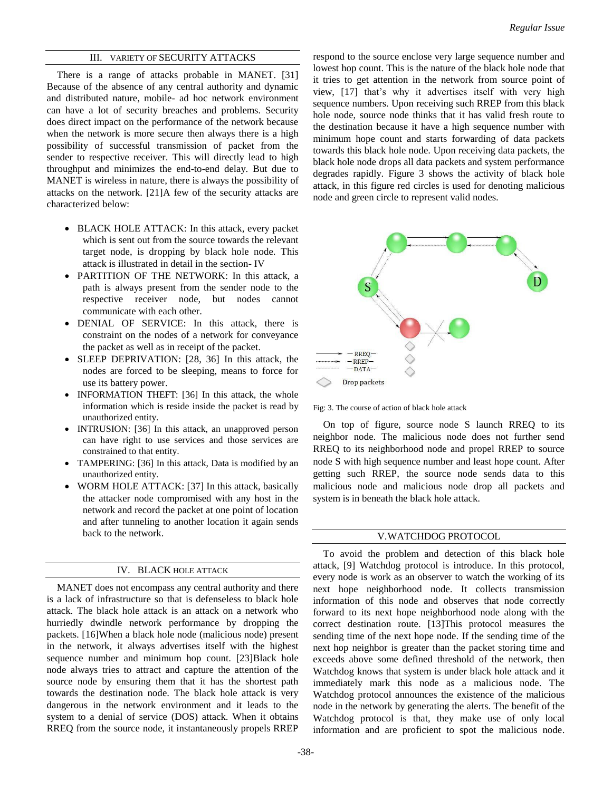# III. VARIETY OF SECURITY ATTACKS

There is a range of attacks probable in MANET. [31] Because of the absence of any central authority and dynamic and distributed nature, mobile- ad hoc network environment can have a lot of security breaches and problems. Security does direct impact on the performance of the network because when the network is more secure then always there is a high possibility of successful transmission of packet from the sender to respective receiver. This will directly lead to high throughput and minimizes the end-to-end delay. But due to MANET is wireless in nature, there is always the possibility of attacks on the network. [21]A few of the security attacks are characterized below:

- BLACK HOLE ATTACK: In this attack, every packet which is sent out from the source towards the relevant target node, is dropping by black hole node. This attack is illustrated in detail in the section- IV
- PARTITION OF THE NETWORK: In this attack, a path is always present from the sender node to the respective receiver node, but nodes cannot communicate with each other.
- DENIAL OF SERVICE: In this attack, there is constraint on the nodes of a network for conveyance the packet as well as in receipt of the packet.
- SLEEP DEPRIVATION: [28, 36] In this attack, the nodes are forced to be sleeping, means to force for use its battery power.
- INFORMATION THEFT: [36] In this attack, the whole information which is reside inside the packet is read by unauthorized entity.
- INTRUSION: [36] In this attack, an unapproved person can have right to use services and those services are constrained to that entity.
- TAMPERING: [36] In this attack, Data is modified by an unauthorized entity.
- WORM HOLE ATTACK: [37] In this attack, basically the attacker node compromised with any host in the network and record the packet at one point of location and after tunneling to another location it again sends back to the network.

# IV. BLACK HOLE ATTACK

MANET does not encompass any central authority and there is a lack of infrastructure so that is defenseless to black hole attack. The black hole attack is an attack on a network who hurriedly dwindle network performance by dropping the packets. [16]When a black hole node (malicious node) present in the network, it always advertises itself with the highest sequence number and minimum hop count. [23]Black hole node always tries to attract and capture the attention of the source node by ensuring them that it has the shortest path towards the destination node. The black hole attack is very dangerous in the network environment and it leads to the system to a denial of service (DOS) attack. When it obtains RREQ from the source node, it instantaneously propels RREP

respond to the source enclose very large sequence number and lowest hop count. This is the nature of the black hole node that it tries to get attention in the network from source point of view, [17] that's why it advertises itself with very high sequence numbers. Upon receiving such RREP from this black hole node, source node thinks that it has valid fresh route to the destination because it have a high sequence number with minimum hope count and starts forwarding of data packets towards this black hole node. Upon receiving data packets, the black hole node drops all data packets and system performance degrades rapidly. Figure 3 shows the activity of black hole attack, in this figure red circles is used for denoting malicious node and green circle to represent valid nodes.



Fig: 3. The course of action of black hole attack

On top of figure, source node S launch RREQ to its neighbor node. The malicious node does not further send RREQ to its neighborhood node and propel RREP to source node S with high sequence number and least hope count. After getting such RREP, the source node sends data to this malicious node and malicious node drop all packets and system is in beneath the black hole attack.

## V.WATCHDOG PROTOCOL

To avoid the problem and detection of this black hole attack, [9] Watchdog protocol is introduce. In this protocol, every node is work as an observer to watch the working of its next hope neighborhood node. It collects transmission information of this node and observes that node correctly forward to its next hope neighborhood node along with the correct destination route. [13]This protocol measures the sending time of the next hope node. If the sending time of the next hop neighbor is greater than the packet storing time and exceeds above some defined threshold of the network, then Watchdog knows that system is under black hole attack and it immediately mark this node as a malicious node. The Watchdog protocol announces the existence of the malicious node in the network by generating the alerts. The benefit of the Watchdog protocol is that, they make use of only local information and are proficient to spot the malicious node.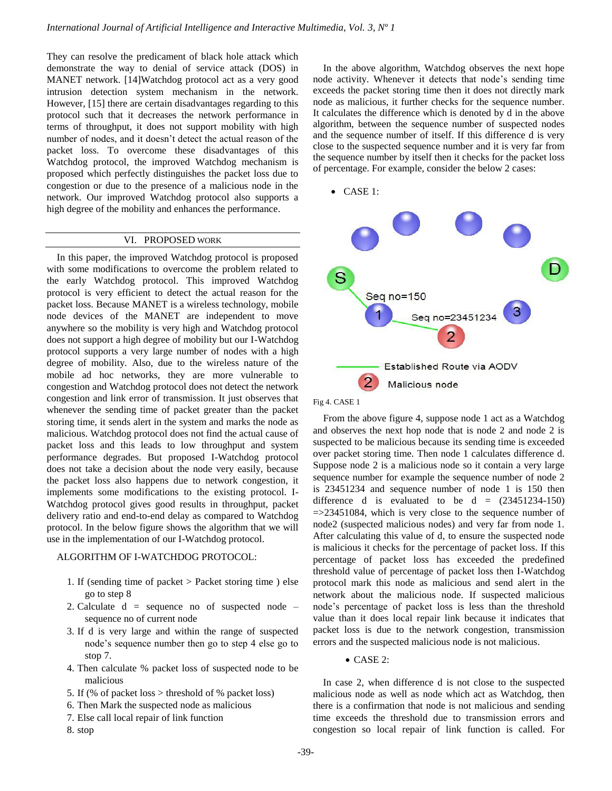They can resolve the predicament of black hole attack which demonstrate the way to denial of service attack (DOS) in MANET network. [14]Watchdog protocol act as a very good intrusion detection system mechanism in the network. However, [15] there are certain disadvantages regarding to this protocol such that it decreases the network performance in terms of throughput, it does not support mobility with high number of nodes, and it doesn't detect the actual reason of the packet loss. To overcome these disadvantages of this Watchdog protocol, the improved Watchdog mechanism is proposed which perfectly distinguishes the packet loss due to congestion or due to the presence of a malicious node in the network. Our improved Watchdog protocol also supports a high degree of the mobility and enhances the performance.

## VI. PROPOSED WORK

In this paper, the improved Watchdog protocol is proposed with some modifications to overcome the problem related to the early Watchdog protocol. This improved Watchdog protocol is very efficient to detect the actual reason for the packet loss. Because MANET is a wireless technology, mobile node devices of the MANET are independent to move anywhere so the mobility is very high and Watchdog protocol does not support a high degree of mobility but our I-Watchdog protocol supports a very large number of nodes with a high degree of mobility. Also, due to the wireless nature of the mobile ad hoc networks, they are more vulnerable to congestion and Watchdog protocol does not detect the network congestion and link error of transmission. It just observes that whenever the sending time of packet greater than the packet storing time, it sends alert in the system and marks the node as malicious. Watchdog protocol does not find the actual cause of packet loss and this leads to low throughput and system performance degrades. But proposed I-Watchdog protocol does not take a decision about the node very easily, because the packet loss also happens due to network congestion, it implements some modifications to the existing protocol. I-Watchdog protocol gives good results in throughput, packet delivery ratio and end-to-end delay as compared to Watchdog protocol. In the below figure shows the algorithm that we will use in the implementation of our I-Watchdog protocol.

# ALGORITHM OF I-WATCHDOG PROTOCOL:

- 1. If (sending time of packet > Packet storing time ) else go to step 8
- 2. Calculate  $d =$  sequence no of suspected node sequence no of current node
- 3. If d is very large and within the range of suspected node's sequence number then go to step 4 else go to stop 7.
- 4. Then calculate % packet loss of suspected node to be malicious
- 5. If (% of packet loss > threshold of % packet loss)
- 6. Then Mark the suspected node as malicious
- 7. Else call local repair of link function
- 8. stop

In the above algorithm, Watchdog observes the next hope node activity. Whenever it detects that node's sending time exceeds the packet storing time then it does not directly mark node as malicious, it further checks for the sequence number. It calculates the difference which is denoted by d in the above algorithm, between the sequence number of suspected nodes and the sequence number of itself. If this difference d is very close to the suspected sequence number and it is very far from the sequence number by itself then it checks for the packet loss of percentage. For example, consider the below 2 cases:

CASE 1:



Fig 4. CASE 1

From the above figure 4, suppose node 1 act as a Watchdog and observes the next hop node that is node 2 and node 2 is suspected to be malicious because its sending time is exceeded over packet storing time. Then node 1 calculates difference d. Suppose node 2 is a malicious node so it contain a very large sequence number for example the sequence number of node 2 is 23451234 and sequence number of node 1 is 150 then difference d is evaluated to be  $d = (23451234-150)$  $=$  >23451084, which is very close to the sequence number of node2 (suspected malicious nodes) and very far from node 1. After calculating this value of d, to ensure the suspected node is malicious it checks for the percentage of packet loss. If this percentage of packet loss has exceeded the predefined threshold value of percentage of packet loss then I-Watchdog protocol mark this node as malicious and send alert in the network about the malicious node. If suspected malicious node's percentage of packet loss is less than the threshold value than it does local repair link because it indicates that packet loss is due to the network congestion, transmission errors and the suspected malicious node is not malicious.

 $\bullet$  CASE 2:

In case 2, when difference d is not close to the suspected malicious node as well as node which act as Watchdog, then there is a confirmation that node is not malicious and sending time exceeds the threshold due to transmission errors and congestion so local repair of link function is called. For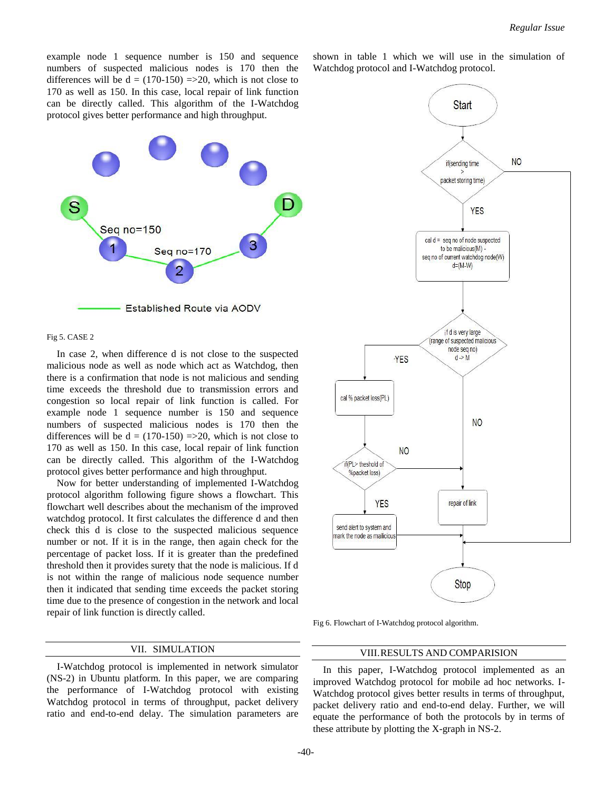example node 1 sequence number is 150 and sequence numbers of suspected malicious nodes is 170 then the differences will be  $d = (170-150) \Rightarrow 20$ , which is not close to 170 as well as 150. In this case, local repair of link function can be directly called. This algorithm of the I-Watchdog protocol gives better performance and high throughput.



#### Fig 5. CASE 2

In case 2, when difference d is not close to the suspected malicious node as well as node which act as Watchdog, then there is a confirmation that node is not malicious and sending time exceeds the threshold due to transmission errors and congestion so local repair of link function is called. For example node 1 sequence number is 150 and sequence numbers of suspected malicious nodes is 170 then the differences will be  $d = (170-150) = 20$ , which is not close to 170 as well as 150. In this case, local repair of link function can be directly called. This algorithm of the I-Watchdog protocol gives better performance and high throughput.

Now for better understanding of implemented I-Watchdog protocol algorithm following figure shows a flowchart. This flowchart well describes about the mechanism of the improved watchdog protocol. It first calculates the difference d and then check this d is close to the suspected malicious sequence number or not. If it is in the range, then again check for the percentage of packet loss. If it is greater than the predefined threshold then it provides surety that the node is malicious. If d is not within the range of malicious node sequence number then it indicated that sending time exceeds the packet storing time due to the presence of congestion in the network and local repair of link function is directly called.

# VII. SIMULATION

I-Watchdog protocol is implemented in network simulator (NS-2) in Ubuntu platform. In this paper, we are comparing the performance of I-Watchdog protocol with existing Watchdog protocol in terms of throughput, packet delivery ratio and end-to-end delay. The simulation parameters are

shown in table 1 which we will use in the simulation of Watchdog protocol and I-Watchdog protocol.



Fig 6. Flowchart of I-Watchdog protocol algorithm.

# VIII.RESULTS AND COMPARISION

 In this paper, I-Watchdog protocol implemented as an improved Watchdog protocol for mobile ad hoc networks. I-Watchdog protocol gives better results in terms of throughput, packet delivery ratio and end-to-end delay. Further, we will equate the performance of both the protocols by in terms of these attribute by plotting the X-graph in NS-2.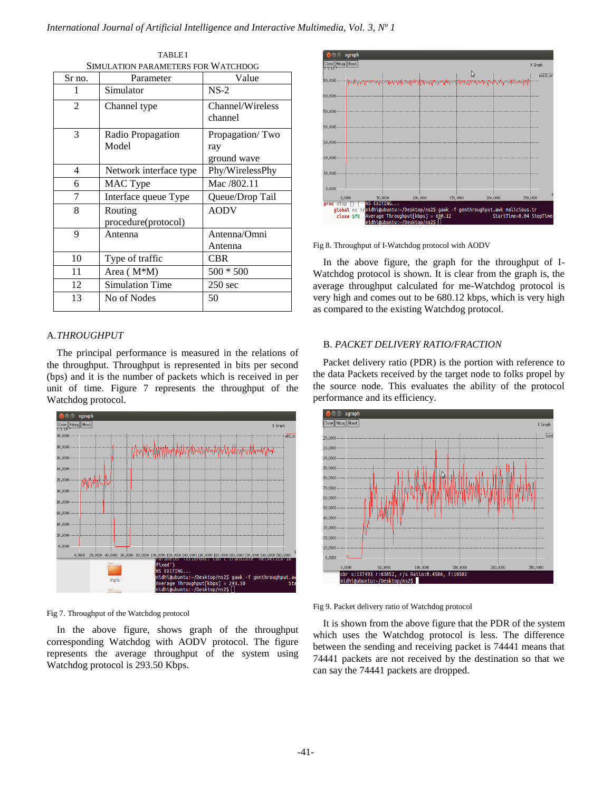| Sr no.         | Parameter                      | Value                                 |
|----------------|--------------------------------|---------------------------------------|
| 1              | Simulator                      | $NS-2$                                |
| $\overline{2}$ | Channel type                   | Channel/Wireless<br>channel           |
| 3              | Radio Propagation<br>Model     | Propagation/Two<br>ray<br>ground wave |
| 4              | Network interface type         | Phy/WirelessPhy                       |
| 6              | MAC Type                       | Mac /802.11                           |
| 7              | Interface queue Type           | Queue/Drop Tail                       |
| 8              | Routing<br>procedure(protocol) | <b>AODV</b>                           |
| 9              | Antenna                        | Antenna/Omni<br>Antenna               |
| 10             | Type of traffic                | <b>CBR</b>                            |
| 11             | Area (M <sup>*</sup> M)        | $500 * 500$                           |
| 12             | <b>Simulation Time</b>         | $250 \text{ sec}$                     |
| 13             | No of Nodes                    | 50                                    |

TABLE I SIMULATION PARAMETERS FOR WATCHDOG

# A.*THROUGHPUT*

The principal performance is measured in the relations of the throughput. Throughput is represented in bits per second (bps) and it is the number of packets which is received in per unit of time. Figure 7 represents the throughput of the Watchdog protocol.



Fig 7. Throughput of the Watchdog protocol

In the above figure, shows graph of the throughput corresponding Watchdog with AODV protocol. The figure represents the average throughput of the system using Watchdog protocol is 293.50 Kbps.



Fig 8. Throughput of I-Watchdog protocol with AODV

In the above figure, the graph for the throughput of I-Watchdog protocol is shown. It is clear from the graph is, the average throughput calculated for me-Watchdog protocol is very high and comes out to be 680.12 kbps, which is very high as compared to the existing Watchdog protocol.

# B. *PACKET DELIVERY RATIO/FRACTION*

Packet delivery ratio (PDR) is the portion with reference to the data Packets received by the target node to folks propel by the source node. This evaluates the ability of the protocol performance and its efficiency.



Fig 9. Packet delivery ratio of Watchdog protocol

It is shown from the above figure that the PDR of the system which uses the Watchdog protocol is less. The difference between the sending and receiving packet is 74441 means that 74441 packets are not received by the destination so that we can say the 74441 packets are dropped.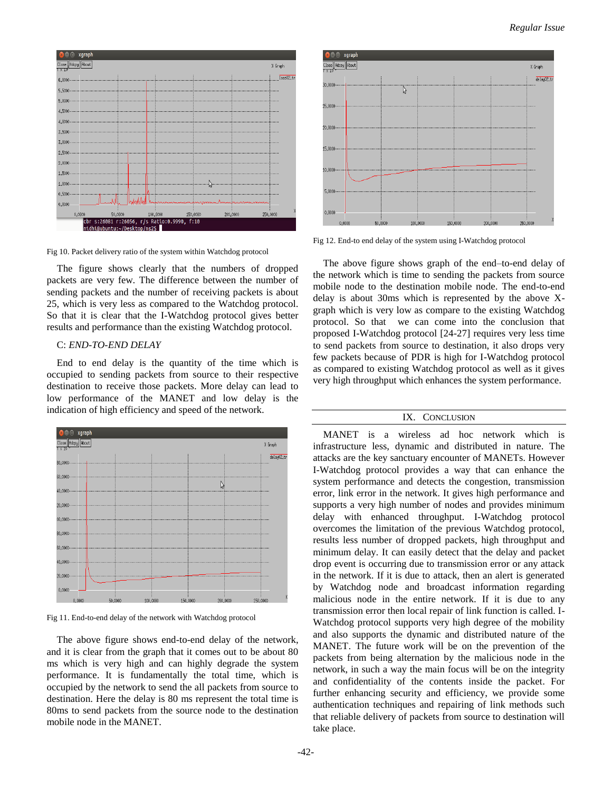

Fig 10. Packet delivery ratio of the system within Watchdog protocol

The figure shows clearly that the numbers of dropped packets are very few. The difference between the number of sending packets and the number of receiving packets is about 25, which is very less as compared to the Watchdog protocol. So that it is clear that the I-Watchdog protocol gives better results and performance than the existing Watchdog protocol.

# C: *END-TO-END DELAY*

End to end delay is the quantity of the time which is occupied to sending packets from source to their respective destination to receive those packets. More delay can lead to low performance of the MANET and low delay is the indication of high efficiency and speed of the network.



Fig 11. End-to-end delay of the network with Watchdog protocol

The above figure shows end-to-end delay of the network, and it is clear from the graph that it comes out to be about 80 ms which is very high and can highly degrade the system performance. It is fundamentally the total time, which is occupied by the network to send the all packets from source to destination. Here the delay is 80 ms represent the total time is 80ms to send packets from the source node to the destination mobile node in the MANET.



Fig 12. End-to end delay of the system using I-Watchdog protocol

The above figure shows graph of the end–to-end delay of the network which is time to sending the packets from source mobile node to the destination mobile node. The end-to-end delay is about 30ms which is represented by the above Xgraph which is very low as compare to the existing Watchdog protocol. So that we can come into the conclusion that proposed I-Watchdog protocol [24-27] requires very less time to send packets from source to destination, it also drops very few packets because of PDR is high for I-Watchdog protocol as compared to existing Watchdog protocol as well as it gives very high throughput which enhances the system performance.

# IX. CONCLUSION

MANET is a wireless ad hoc network which is infrastructure less, dynamic and distributed in nature. The attacks are the key sanctuary encounter of MANETs. However I-Watchdog protocol provides a way that can enhance the system performance and detects the congestion, transmission error, link error in the network. It gives high performance and supports a very high number of nodes and provides minimum delay with enhanced throughput. I-Watchdog protocol overcomes the limitation of the previous Watchdog protocol, results less number of dropped packets, high throughput and minimum delay. It can easily detect that the delay and packet drop event is occurring due to transmission error or any attack in the network. If it is due to attack, then an alert is generated by Watchdog node and broadcast information regarding malicious node in the entire network. If it is due to any transmission error then local repair of link function is called. I-Watchdog protocol supports very high degree of the mobility and also supports the dynamic and distributed nature of the MANET. The future work will be on the prevention of the packets from being alternation by the malicious node in the network, in such a way the main focus will be on the integrity and confidentiality of the contents inside the packet. For further enhancing security and efficiency, we provide some authentication techniques and repairing of link methods such that reliable delivery of packets from source to destination will take place.